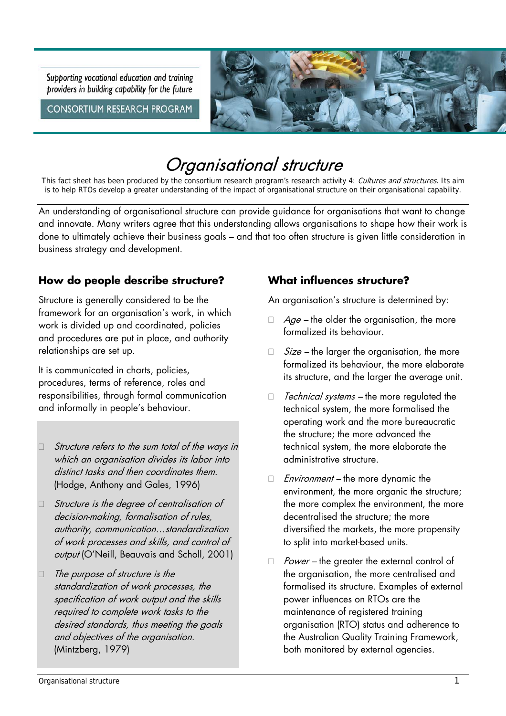Supporting vocational education and training providers in building capability for the future

CONSORTIUM RESEARCH PROGRAM



# Organisational structure

This fact sheet has been produced by the consortium research program's research activity 4: Cultures and structures. Its aim is to help RTOs develop a greater understanding of the impact of organisational structure on their organisational capability.

An understanding of organisational structure can provide guidance for organisations that want to change and innovate. Many writers agree that this understanding allows organisations to shape how their work is done to ultimately achieve their business goals – and that too often structure is given little consideration in business strategy and development.

#### **How do people describe structure?**

Structure is generally considered to be the framework for an organisation's work, in which work is divided up and coordinated, policies and procedures are put in place, and authority relationships are set up.

It is communicated in charts, policies, procedures, terms of reference, roles and responsibilities, through formal communication and informally in people's behaviour.

- $\Box$  Structure refers to the sum total of the ways in which an organisation divides its labor into distinct tasks and then coordinates them. (Hodge, Anthony and Gales, 1996)
- $\Box$  Structure is the degree of centralisation of decision-making, formalisation of rules, authority, communication...standardization of work processes and skills, and control of output (O'Neill, Beauvais and Scholl, 2001)
- $\Box$  The purpose of structure is the standardization of work processes, the specification of work output and the skills required to complete work tasks to the desired standards, thus meeting the goals and objectives of the organisation. (Mintzberg, 1979)

#### **What influences structure?**

An organisation's structure is determined by:

- $\Box$  Age the older the organisation, the more formalized its behaviour.
- $\Box$  *Size* the larger the organisation, the more formalized its behaviour, the more elaborate its structure, and the larger the average unit.
- $\Box$  *Technical systems* the more regulated the technical system, the more formalised the operating work and the more bureaucratic the structure; the more advanced the technical system, the more elaborate the administrative structure.
- $\Box$  *Environment* the more dynamic the environment, the more organic the structure; the more complex the environment, the more decentralised the structure; the more diversified the markets, the more propensity to split into market-based units.
- $\Box$  Power the greater the external control of the organisation, the more centralised and formalised its structure. Examples of external power influences on RTOs are the maintenance of registered training organisation (RTO) status and adherence to the Australian Quality Training Framework, both monitored by external agencies.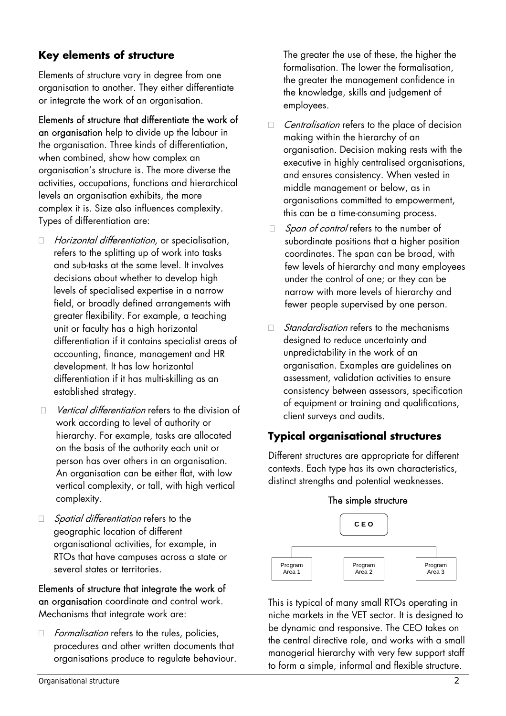## **Key elements of structure**

Elements of structure vary in degree from one organisation to another. They either differentiate or integrate the work of an organisation.

Elements of structure that differentiate the work of an organisation help to divide up the labour in the organisation. Three kinds of differentiation, when combined, show how complex an organisation's structure is. The more diverse the activities, occupations, functions and hierarchical levels an organisation exhibits, the more complex it is. Size also influences complexity. Types of differentiation are:

- $\Box$  Horizontal differentiation, or specialisation, refers to the splitting up of work into tasks and sub-tasks at the same level. It involves decisions about whether to develop high levels of specialised expertise in a narrow field, or broadly defined arrangements with greater flexibility. For example, a teaching unit or faculty has a high horizontal differentiation if it contains specialist areas of accounting, finance, management and HR development. It has low horizontal differentiation if it has multi-skilling as an established strategy.
- $\Box$  Vertical differentiation refers to the division of work according to level of authority or hierarchy. For example, tasks are allocated on the basis of the authority each unit or person has over others in an organisation. An organisation can be either flat, with low vertical complexity, or tall, with high vertical complexity.
- $\Box$  *Spatial differentiation* refers to the geographic location of different organisational activities, for example, in RTOs that have campuses across a state or several states or territories.

#### Elements of structure that integrate the work of an organisation coordinate and control work. Mechanisms that integrate work are:

 $\Box$  *Formalisation* refers to the rules, policies, procedures and other written documents that organisations produce to regulate behaviour. The greater the use of these, the higher the formalisation. The lower the formalisation, the greater the management confidence in the knowledge, skills and judgement of employees.

- $\Box$  *Centralisation* refers to the place of decision making within the hierarchy of an organisation. Decision making rests with the executive in highly centralised organisations, and ensures consistency. When vested in middle management or below, as in organisations committed to empowerment, this can be a time-consuming process.
- □ *Span of control* refers to the number of subordinate positions that a higher position coordinates. The span can be broad, with few levels of hierarchy and many employees under the control of one; or they can be narrow with more levels of hierarchy and fewer people supervised by one person.
- $\Box$  *Standardisation* refers to the mechanisms designed to reduce uncertainty and unpredictability in the work of an organisation. Examples are guidelines on assessment, validation activities to ensure consistency between assessors, specification of equipment or training and qualifications, client surveys and audits.

## **Typical organisational structures**

Different structures are appropriate for different contexts. Each type has its own characteristics, distinct strengths and potential weaknesses.

### The simple structure



This is typical of many small RTOs operating in niche markets in the VET sector. It is designed to be dynamic and responsive. The CEO takes on the central directive role, and works with a small managerial hierarchy with very few support staff to form a simple, informal and flexible structure.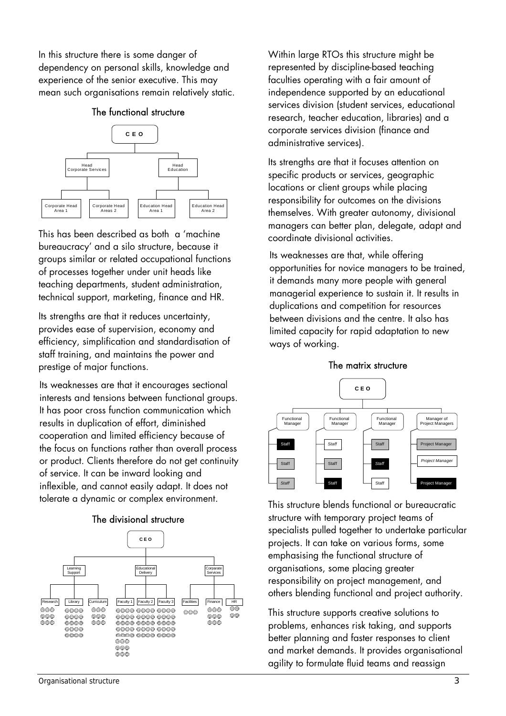In this structure there is some danger of dependency on personal skills, knowledge and experience of the senior executive. This may mean such organisations remain relatively static.





This has been described as both a 'machine bureaucracy' and a silo structure, because it groups similar or related occupational functions of processes together under unit heads like teaching departments, student administration, technical support, marketing, finance and HR.

Its strengths are that it reduces uncertainty, provides ease of supervision, economy and efficiency, simplification and standardisation of staff training, and maintains the power and prestige of major functions.

Its weaknesses are that it encourages sectional interests and tensions between functional groups. It has poor cross function communication which results in duplication of effort, diminished cooperation and limited efficiency because of the focus on functions rather than overall process or product. Clients therefore do not get continuity of service. It can be inward looking and inflexible, and cannot easily adapt. It does not tolerate a dynamic or complex environment.



The divisional structure

Within large RTOs this structure might be represented by discipline-based teaching faculties operating with a fair amount of independence supported by an educational services division (student services, educational research, teacher education, libraries) and a corporate services division (finance and administrative services).

Its strengths are that it focuses attention on specific products or services, geographic locations or client groups while placing responsibility for outcomes on the divisions themselves. With greater autonomy, divisional managers can better plan, delegate, adapt and coordinate divisional activities.

Its weaknesses are that, while offering opportunities for novice managers to be trained, it demands many more people with general managerial experience to sustain it. It results in duplications and competition for resources between divisions and the centre. It also has limited capacity for rapid adaptation to new ways of working.





This structure blends functional or bureaucratic structure with temporary project teams of specialists pulled together to undertake particular projects. It can take on various forms, some emphasising the functional structure of organisations, some placing greater responsibility on project management, and others blending functional and project authority.

This structure supports creative solutions to problems, enhances risk taking, and supports better planning and faster responses to client and market demands. It provides organisational agility to formulate fluid teams and reassign